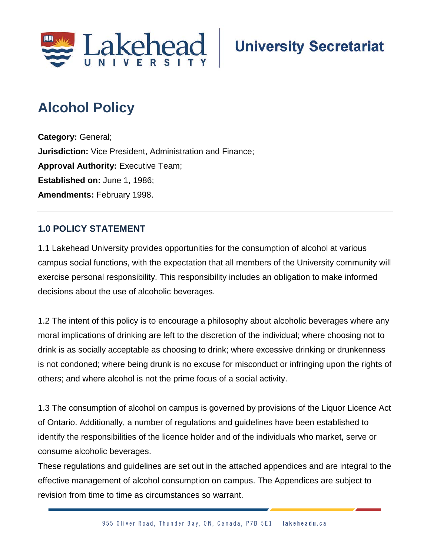

# **Alcohol Policy**

**Category:** General; **Jurisdiction:** Vice President, Administration and Finance; **Approval Authority: Executive Team; Established on:** June 1, 1986; **Amendments:** February 1998.

# **1.0 POLICY STATEMENT**

1.1 Lakehead University provides opportunities for the consumption of alcohol at various campus social functions, with the expectation that all members of the University community will exercise personal responsibility. This responsibility includes an obligation to make informed decisions about the use of alcoholic beverages.

1.2 The intent of this policy is to encourage a philosophy about alcoholic beverages where any moral implications of drinking are left to the discretion of the individual; where choosing not to drink is as socially acceptable as choosing to drink; where excessive drinking or drunkenness is not condoned; where being drunk is no excuse for misconduct or infringing upon the rights of others; and where alcohol is not the prime focus of a social activity.

1.3 The consumption of alcohol on campus is governed by provisions of the Liquor Licence Act of Ontario. Additionally, a number of regulations and guidelines have been established to identify the responsibilities of the licence holder and of the individuals who market, serve or consume alcoholic beverages.

These regulations and guidelines are set out in the attached appendices and are integral to the effective management of alcohol consumption on campus. The Appendices are subject to revision from time to time as circumstances so warrant.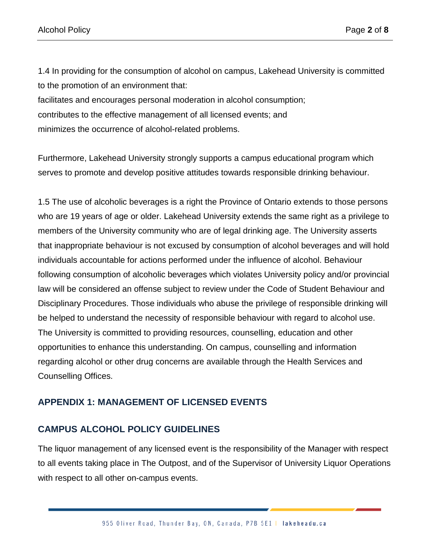1.4 In providing for the consumption of alcohol on campus, Lakehead University is committed to the promotion of an environment that:

facilitates and encourages personal moderation in alcohol consumption; contributes to the effective management of all licensed events; and minimizes the occurrence of alcohol-related problems.

Furthermore, Lakehead University strongly supports a campus educational program which serves to promote and develop positive attitudes towards responsible drinking behaviour.

1.5 The use of alcoholic beverages is a right the Province of Ontario extends to those persons who are 19 years of age or older. Lakehead University extends the same right as a privilege to members of the University community who are of legal drinking age. The University asserts that inappropriate behaviour is not excused by consumption of alcohol beverages and will hold individuals accountable for actions performed under the influence of alcohol. Behaviour following consumption of alcoholic beverages which violates University policy and/or provincial law will be considered an offense subject to review under the Code of Student Behaviour and Disciplinary Procedures. Those individuals who abuse the privilege of responsible drinking will be helped to understand the necessity of responsible behaviour with regard to alcohol use. The University is committed to providing resources, counselling, education and other opportunities to enhance this understanding. On campus, counselling and information regarding alcohol or other drug concerns are available through the Health Services and Counselling Offices.

# **APPENDIX 1: MANAGEMENT OF LICENSED EVENTS**

#### **CAMPUS ALCOHOL POLICY GUIDELINES**

The liquor management of any licensed event is the responsibility of the Manager with respect to all events taking place in The Outpost, and of the Supervisor of University Liquor Operations with respect to all other on-campus events.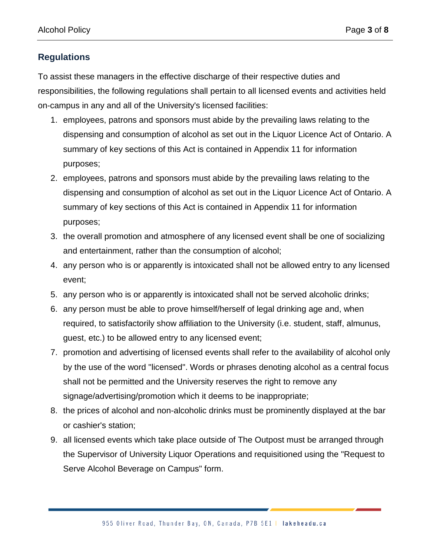# **Regulations**

To assist these managers in the effective discharge of their respective duties and responsibilities, the following regulations shall pertain to all licensed events and activities held on-campus in any and all of the University's licensed facilities:

- 1. employees, patrons and sponsors must abide by the prevailing laws relating to the dispensing and consumption of alcohol as set out in the Liquor Licence Act of Ontario. A summary of key sections of this Act is contained in Appendix 11 for information purposes;
- 2. employees, patrons and sponsors must abide by the prevailing laws relating to the dispensing and consumption of alcohol as set out in the Liquor Licence Act of Ontario. A summary of key sections of this Act is contained in Appendix 11 for information purposes;
- 3. the overall promotion and atmosphere of any licensed event shall be one of socializing and entertainment, rather than the consumption of alcohol;
- 4. any person who is or apparently is intoxicated shall not be allowed entry to any licensed event;
- 5. any person who is or apparently is intoxicated shall not be served alcoholic drinks;
- 6. any person must be able to prove himself/herself of legal drinking age and, when required, to satisfactorily show affiliation to the University (i.e. student, staff, almunus, guest, etc.) to be allowed entry to any licensed event;
- 7. promotion and advertising of licensed events shall refer to the availability of alcohol only by the use of the word "licensed". Words or phrases denoting alcohol as a central focus shall not be permitted and the University reserves the right to remove any signage/advertising/promotion which it deems to be inappropriate;
- 8. the prices of alcohol and non-alcoholic drinks must be prominently displayed at the bar or cashier's station;
- 9. all licensed events which take place outside of The Outpost must be arranged through the Supervisor of University Liquor Operations and requisitioned using the "Request to Serve Alcohol Beverage on Campus" form.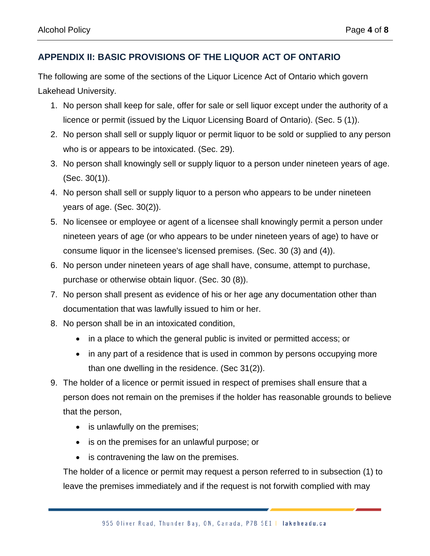# **APPENDIX II: BASIC PROVISIONS OF THE LIQUOR ACT OF ONTARIO**

The following are some of the sections of the Liquor Licence Act of Ontario which govern Lakehead University.

- 1. No person shall keep for sale, offer for sale or sell liquor except under the authority of a licence or permit (issued by the Liquor Licensing Board of Ontario). (Sec. 5 (1)).
- 2. No person shall sell or supply liquor or permit liquor to be sold or supplied to any person who is or appears to be intoxicated. (Sec. 29).
- 3. No person shall knowingly sell or supply liquor to a person under nineteen years of age. (Sec. 30(1)).
- 4. No person shall sell or supply liquor to a person who appears to be under nineteen years of age. (Sec. 30(2)).
- 5. No licensee or employee or agent of a licensee shall knowingly permit a person under nineteen years of age (or who appears to be under nineteen years of age) to have or consume liquor in the licensee's licensed premises. (Sec. 30 (3) and (4)).
- 6. No person under nineteen years of age shall have, consume, attempt to purchase, purchase or otherwise obtain liquor. (Sec. 30 (8)).
- 7. No person shall present as evidence of his or her age any documentation other than documentation that was lawfully issued to him or her.
- 8. No person shall be in an intoxicated condition,
	- in a place to which the general public is invited or permitted access; or
	- in any part of a residence that is used in common by persons occupying more than one dwelling in the residence. (Sec 31(2)).
- 9. The holder of a licence or permit issued in respect of premises shall ensure that a person does not remain on the premises if the holder has reasonable grounds to believe that the person,
	- is unlawfully on the premises;
	- is on the premises for an unlawful purpose; or
	- is contravening the law on the premises.

The holder of a licence or permit may request a person referred to in subsection (1) to leave the premises immediately and if the request is not forwith complied with may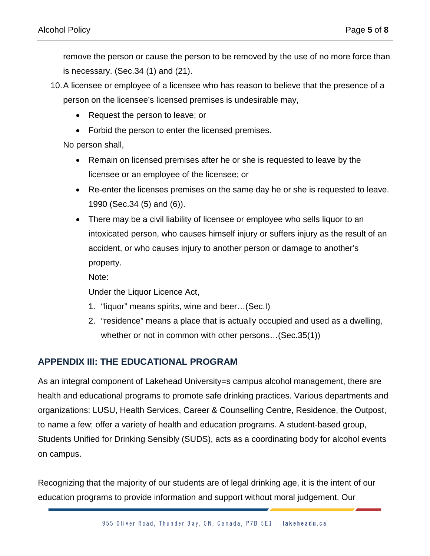remove the person or cause the person to be removed by the use of no more force than is necessary. (Sec.34 (1) and (21).

- 10.A licensee or employee of a licensee who has reason to believe that the presence of a person on the licensee's licensed premises is undesirable may,
	- Request the person to leave; or
	- Forbid the person to enter the licensed premises.

No person shall,

- Remain on licensed premises after he or she is requested to leave by the licensee or an employee of the licensee; or
- Re-enter the licenses premises on the same day he or she is requested to leave. 1990 (Sec.34 (5) and (6)).
- There may be a civil liability of licensee or employee who sells liquor to an intoxicated person, who causes himself injury or suffers injury as the result of an accident, or who causes injury to another person or damage to another's property.

Note:

Under the Liquor Licence Act,

- 1. "liquor" means spirits, wine and beer…(Sec.I)
- 2. "residence" means a place that is actually occupied and used as a dwelling, whether or not in common with other persons…(Sec.35(1))

#### **APPENDIX III: THE EDUCATIONAL PROGRAM**

As an integral component of Lakehead University=s campus alcohol management, there are health and educational programs to promote safe drinking practices. Various departments and organizations: LUSU, Health Services, Career & Counselling Centre, Residence, the Outpost, to name a few; offer a variety of health and education programs. A student-based group, Students Unified for Drinking Sensibly (SUDS), acts as a coordinating body for alcohol events on campus.

Recognizing that the majority of our students are of legal drinking age, it is the intent of our education programs to provide information and support without moral judgement. Our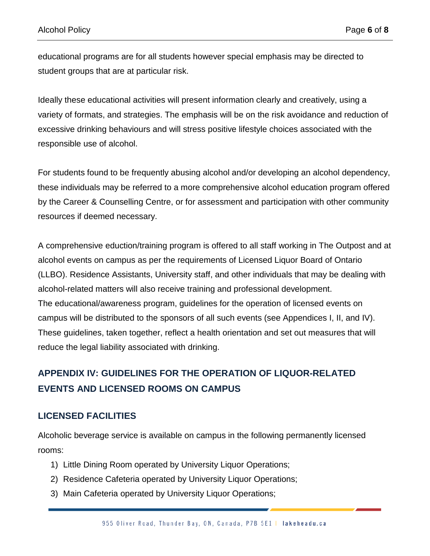educational programs are for all students however special emphasis may be directed to student groups that are at particular risk.

Ideally these educational activities will present information clearly and creatively, using a variety of formats, and strategies. The emphasis will be on the risk avoidance and reduction of excessive drinking behaviours and will stress positive lifestyle choices associated with the responsible use of alcohol.

For students found to be frequently abusing alcohol and/or developing an alcohol dependency, these individuals may be referred to a more comprehensive alcohol education program offered by the Career & Counselling Centre, or for assessment and participation with other community resources if deemed necessary.

A comprehensive eduction/training program is offered to all staff working in The Outpost and at alcohol events on campus as per the requirements of Licensed Liquor Board of Ontario (LLBO). Residence Assistants, University staff, and other individuals that may be dealing with alcohol-related matters will also receive training and professional development. The educational/awareness program, guidelines for the operation of licensed events on campus will be distributed to the sponsors of all such events (see Appendices I, II, and IV). These guidelines, taken together, reflect a health orientation and set out measures that will reduce the legal liability associated with drinking.

# **APPENDIX IV: GUIDELINES FOR THE OPERATION OF LIQUOR-RELATED EVENTS AND LICENSED ROOMS ON CAMPUS**

# **LICENSED FACILITIES**

Alcoholic beverage service is available on campus in the following permanently licensed rooms:

- 1) Little Dining Room operated by University Liquor Operations;
- 2) Residence Cafeteria operated by University Liquor Operations;
- 3) Main Cafeteria operated by University Liquor Operations;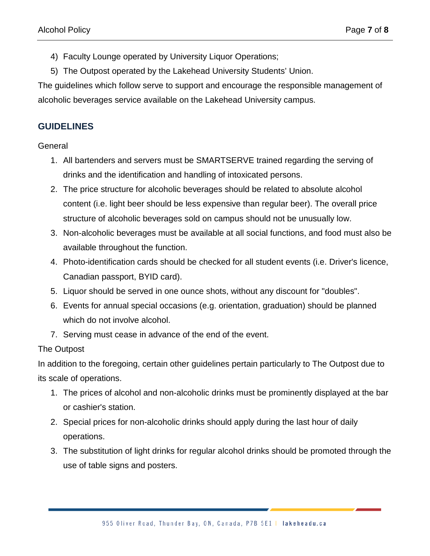- 4) Faculty Lounge operated by University Liquor Operations;
- 5) The Outpost operated by the Lakehead University Students' Union.

The guidelines which follow serve to support and encourage the responsible management of alcoholic beverages service available on the Lakehead University campus.

# **GUIDELINES**

#### **General**

- 1. All bartenders and servers must be SMARTSERVE trained regarding the serving of drinks and the identification and handling of intoxicated persons.
- 2. The price structure for alcoholic beverages should be related to absolute alcohol content (i.e. light beer should be less expensive than regular beer). The overall price structure of alcoholic beverages sold on campus should not be unusually low.
- 3. Non-alcoholic beverages must be available at all social functions, and food must also be available throughout the function.
- 4. Photo-identification cards should be checked for all student events (i.e. Driver's licence, Canadian passport, BYID card).
- 5. Liquor should be served in one ounce shots, without any discount for "doubles".
- 6. Events for annual special occasions (e.g. orientation, graduation) should be planned which do not involve alcohol.
- 7. Serving must cease in advance of the end of the event.

#### The Outpost

In addition to the foregoing, certain other guidelines pertain particularly to The Outpost due to its scale of operations.

- 1. The prices of alcohol and non-alcoholic drinks must be prominently displayed at the bar or cashier's station.
- 2. Special prices for non-alcoholic drinks should apply during the last hour of daily operations.
- 3. The substitution of light drinks for regular alcohol drinks should be promoted through the use of table signs and posters.